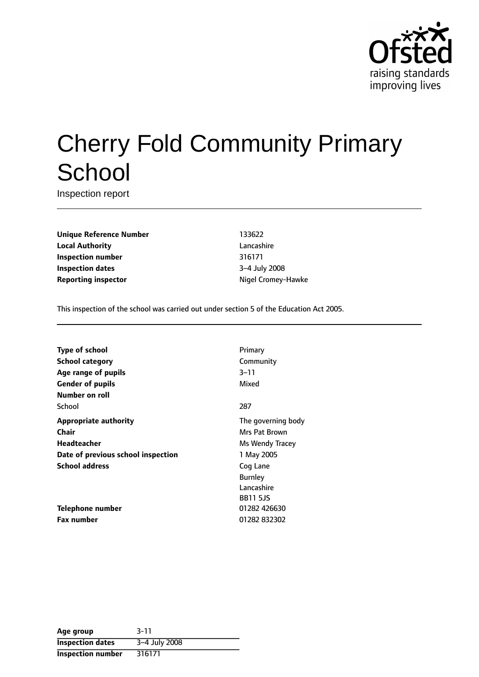

# Cherry Fold Community Primary **School**

Inspection report

**Unique Reference Number** 133622 **Local Authority** Lancashire **Inspection number** 316171 **Inspection dates** 3-4 July 2008 **Reporting inspector**  $N$  **Nigel Cromey-Hawke** 

This inspection of the school was carried out under section 5 of the Education Act 2005.

| <b>Type of school</b>              | Primary            |
|------------------------------------|--------------------|
| <b>School category</b>             | Community          |
| Age range of pupils                | 3–11               |
| <b>Gender of pupils</b>            | Mixed              |
| Number on roll                     |                    |
| School                             | 287                |
| <b>Appropriate authority</b>       | The governing body |
| Chair                              | Mrs Pat Brown      |
| Headteacher                        | Ms Wendy Tracey    |
| Date of previous school inspection | 1 May 2005         |
| <b>School address</b>              | Cog Lane           |
|                                    | <b>Burnley</b>     |
|                                    | Lancashire         |
|                                    | <b>BB11 5JS</b>    |
| Telephone number                   | 01282 426630       |
| <b>Fax number</b>                  | 01282 832302       |

| Age group                | $3 - 11$      |
|--------------------------|---------------|
| <b>Inspection dates</b>  | 3-4 July 2008 |
| <b>Inspection number</b> | 316171        |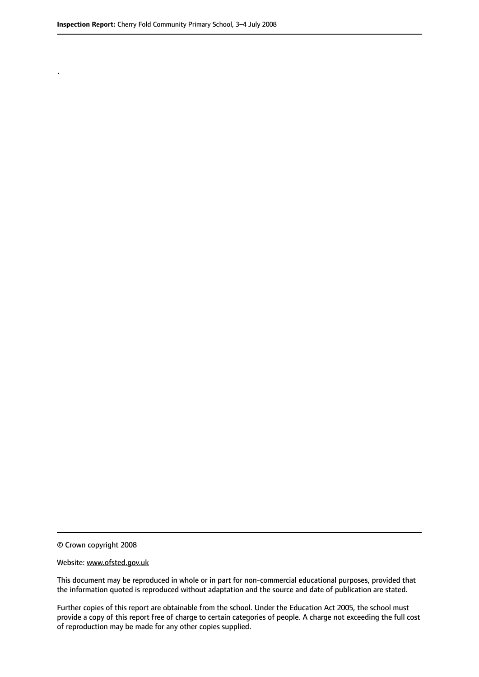.

© Crown copyright 2008

#### Website: www.ofsted.gov.uk

This document may be reproduced in whole or in part for non-commercial educational purposes, provided that the information quoted is reproduced without adaptation and the source and date of publication are stated.

Further copies of this report are obtainable from the school. Under the Education Act 2005, the school must provide a copy of this report free of charge to certain categories of people. A charge not exceeding the full cost of reproduction may be made for any other copies supplied.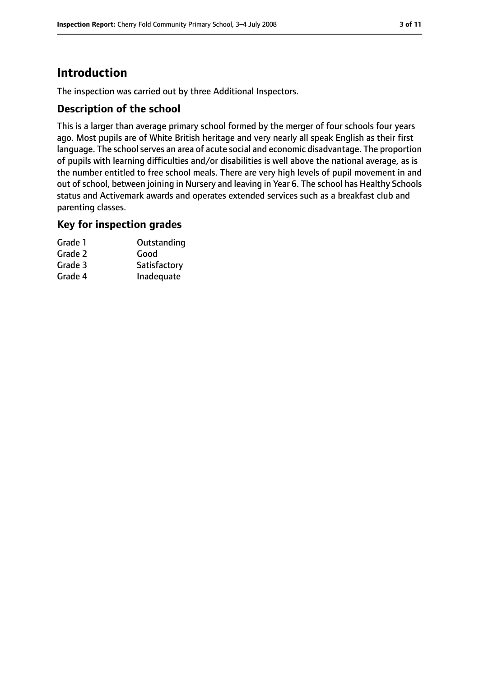# **Introduction**

The inspection was carried out by three Additional Inspectors.

### **Description of the school**

This is a larger than average primary school formed by the merger of four schools four years ago. Most pupils are of White British heritage and very nearly all speak English as their first language. The school serves an area of acute social and economic disadvantage. The proportion of pupils with learning difficulties and/or disabilities is well above the national average, as is the number entitled to free school meals. There are very high levels of pupil movement in and out of school, between joining in Nursery and leaving in Year 6. The school has Healthy Schools status and Activemark awards and operates extended services such as a breakfast club and parenting classes.

#### **Key for inspection grades**

| Grade 1 | Outstanding  |
|---------|--------------|
| Grade 2 | Good         |
| Grade 3 | Satisfactory |
| Grade 4 | Inadequate   |
|         |              |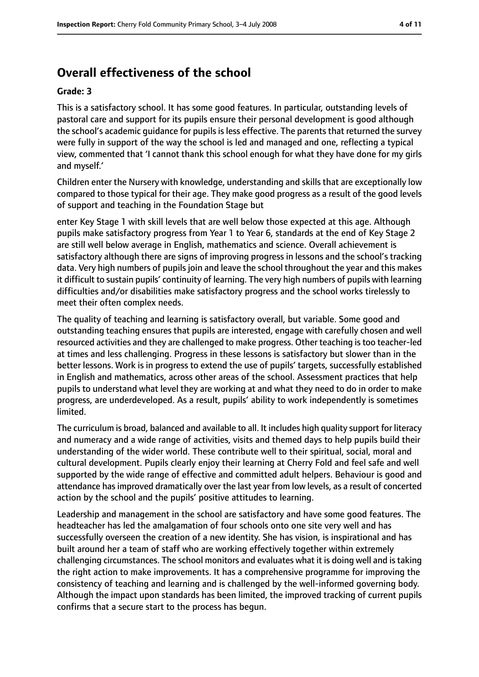# **Overall effectiveness of the school**

#### **Grade: 3**

This is a satisfactory school. It has some good features. In particular, outstanding levels of pastoral care and support for its pupils ensure their personal development is good although the school's academic quidance for pupils is less effective. The parents that returned the survey were fully in support of the way the school is led and managed and one, reflecting a typical view, commented that 'I cannot thank this school enough for what they have done for my girls and myself.'

Children enter the Nursery with knowledge, understanding and skills that are exceptionally low compared to those typical for their age. They make good progress as a result of the good levels of support and teaching in the Foundation Stage but

enter Key Stage 1 with skill levels that are well below those expected at this age. Although pupils make satisfactory progress from Year 1 to Year 6, standards at the end of Key Stage 2 are still well below average in English, mathematics and science. Overall achievement is satisfactory although there are signs of improving progress in lessons and the school's tracking data. Very high numbers of pupils join and leave the school throughout the year and this makes it difficult to sustain pupils' continuity of learning. The very high numbers of pupils with learning difficulties and/or disabilities make satisfactory progress and the school works tirelessly to meet their often complex needs.

The quality of teaching and learning is satisfactory overall, but variable. Some good and outstanding teaching ensures that pupils are interested, engage with carefully chosen and well resourced activities and they are challenged to make progress. Other teaching istoo teacher-led at times and less challenging. Progress in these lessons is satisfactory but slower than in the better lessons. Work is in progress to extend the use of pupils' targets, successfully established in English and mathematics, across other areas of the school. Assessment practices that help pupils to understand what level they are working at and what they need to do in order to make progress, are underdeveloped. As a result, pupils' ability to work independently is sometimes limited.

The curriculum is broad, balanced and available to all. It includes high quality support for literacy and numeracy and a wide range of activities, visits and themed days to help pupils build their understanding of the wider world. These contribute well to their spiritual, social, moral and cultural development. Pupils clearly enjoy their learning at Cherry Fold and feel safe and well supported by the wide range of effective and committed adult helpers. Behaviour is good and attendance has improved dramatically over the last year from low levels, as a result of concerted action by the school and the pupils' positive attitudes to learning.

Leadership and management in the school are satisfactory and have some good features. The headteacher has led the amalgamation of four schools onto one site very well and has successfully overseen the creation of a new identity. She has vision, is inspirational and has built around her a team of staff who are working effectively together within extremely challenging circumstances. The school monitors and evaluates what it is doing well and istaking the right action to make improvements. It has a comprehensive programme for improving the consistency of teaching and learning and is challenged by the well-informed governing body. Although the impact upon standards has been limited, the improved tracking of current pupils confirms that a secure start to the process has begun.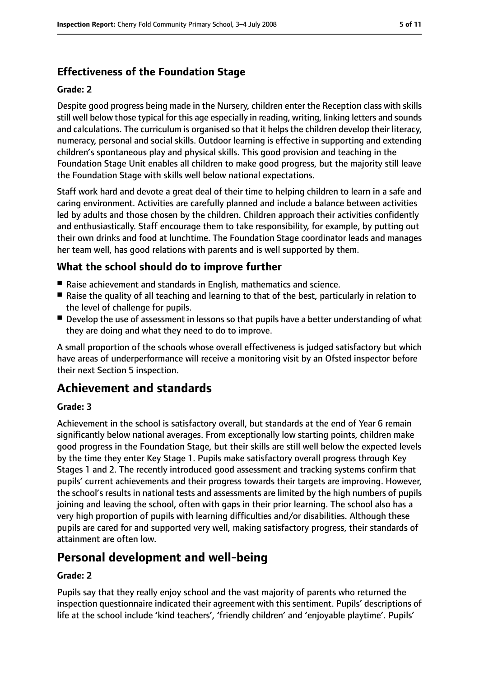## **Effectiveness of the Foundation Stage**

#### **Grade: 2**

Despite good progress being made in the Nursery, children enter the Reception class with skills still well below those typical for this age especially in reading, writing, linking letters and sounds and calculations. The curriculum is organised so that it helps the children develop their literacy, numeracy, personal and social skills. Outdoor learning is effective in supporting and extending children's spontaneous play and physical skills. This good provision and teaching in the Foundation Stage Unit enables all children to make good progress, but the majority still leave the Foundation Stage with skills well below national expectations.

Staff work hard and devote a great deal of their time to helping children to learn in a safe and caring environment. Activities are carefully planned and include a balance between activities led by adults and those chosen by the children. Children approach their activities confidently and enthusiastically. Staff encourage them to take responsibility, for example, by putting out their own drinks and food at lunchtime. The Foundation Stage coordinator leads and manages her team well, has good relations with parents and is well supported by them.

### **What the school should do to improve further**

- Raise achievement and standards in English, mathematics and science.
- Raise the quality of all teaching and learning to that of the best, particularly in relation to the level of challenge for pupils.
- Develop the use of assessment in lessons so that pupils have a better understanding of what they are doing and what they need to do to improve.

A small proportion of the schools whose overall effectiveness is judged satisfactory but which have areas of underperformance will receive a monitoring visit by an Ofsted inspector before their next Section 5 inspection.

# **Achievement and standards**

#### **Grade: 3**

Achievement in the school is satisfactory overall, but standards at the end of Year 6 remain significantly below national averages. From exceptionally low starting points, children make good progress in the Foundation Stage, but their skills are still well below the expected levels by the time they enter Key Stage 1. Pupils make satisfactory overall progress through Key Stages 1 and 2. The recently introduced good assessment and tracking systems confirm that pupils' current achievements and their progress towards their targets are improving. However, the school's results in national tests and assessments are limited by the high numbers of pupils joining and leaving the school, often with gaps in their prior learning. The school also has a very high proportion of pupils with learning difficulties and/or disabilities. Although these pupils are cared for and supported very well, making satisfactory progress, their standards of attainment are often low.

## **Personal development and well-being**

#### **Grade: 2**

Pupils say that they really enjoy school and the vast majority of parents who returned the inspection questionnaire indicated their agreement with this sentiment. Pupils' descriptions of life at the school include 'kind teachers', 'friendly children' and 'enjoyable playtime'. Pupils'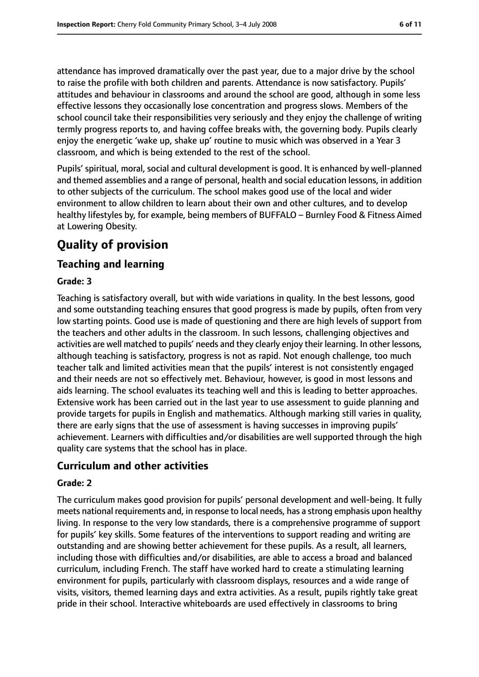attendance has improved dramatically over the past year, due to a major drive by the school to raise the profile with both children and parents. Attendance is now satisfactory. Pupils' attitudes and behaviour in classrooms and around the school are good, although in some less effective lessons they occasionally lose concentration and progress slows. Members of the school council take their responsibilities very seriously and they enjoy the challenge of writing termly progress reports to, and having coffee breaks with, the governing body. Pupils clearly enjoy the energetic 'wake up, shake up' routine to music which was observed in a Year 3 classroom, and which is being extended to the rest of the school.

Pupils' spiritual, moral, social and cultural development is good. It is enhanced by well-planned and themed assemblies and a range of personal, health and social education lessons, in addition to other subjects of the curriculum. The school makes good use of the local and wider environment to allow children to learn about their own and other cultures, and to develop healthy lifestyles by, for example, being members of BUFFALO - Burnley Food & Fitness Aimed at Lowering Obesity.

# **Quality of provision**

## **Teaching and learning**

#### **Grade: 3**

Teaching is satisfactory overall, but with wide variations in quality. In the best lessons, good and some outstanding teaching ensures that good progress is made by pupils, often from very low starting points. Good use is made of questioning and there are high levels of support from the teachers and other adults in the classroom. In such lessons, challenging objectives and activities are well matched to pupils' needs and they clearly enjoy their learning. In other lessons, although teaching is satisfactory, progress is not as rapid. Not enough challenge, too much teacher talk and limited activities mean that the pupils' interest is not consistently engaged and their needs are not so effectively met. Behaviour, however, is good in most lessons and aids learning. The school evaluates its teaching well and this is leading to better approaches. Extensive work has been carried out in the last year to use assessment to guide planning and provide targets for pupils in English and mathematics. Although marking still varies in quality, there are early signs that the use of assessment is having successes in improving pupils' achievement. Learners with difficulties and/or disabilities are well supported through the high quality care systems that the school has in place.

## **Curriculum and other activities**

#### **Grade: 2**

The curriculum makes good provision for pupils' personal development and well-being. It fully meets national requirements and, in response to local needs, has a strong emphasis upon healthy living. In response to the very low standards, there is a comprehensive programme of support for pupils' key skills. Some features of the interventions to support reading and writing are outstanding and are showing better achievement for these pupils. As a result, all learners, including those with difficulties and/or disabilities, are able to access a broad and balanced curriculum, including French. The staff have worked hard to create a stimulating learning environment for pupils, particularly with classroom displays, resources and a wide range of visits, visitors, themed learning days and extra activities. As a result, pupils rightly take great pride in their school. Interactive whiteboards are used effectively in classrooms to bring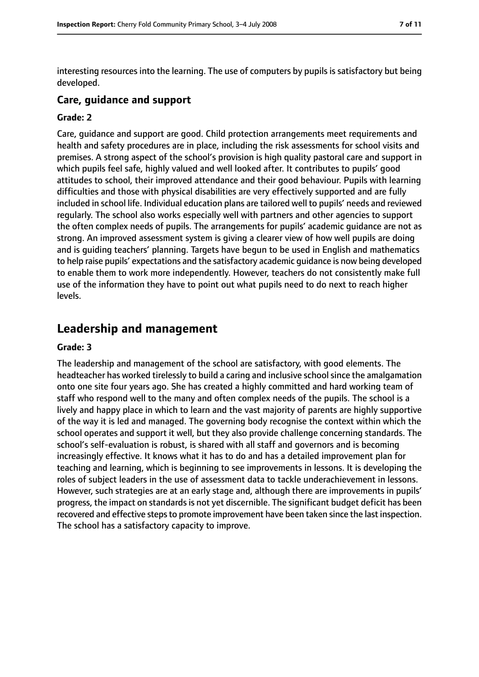interesting resources into the learning. The use of computers by pupils is satisfactory but being developed.

#### **Care, guidance and support**

#### **Grade: 2**

Care, guidance and support are good. Child protection arrangements meet requirements and health and safety procedures are in place, including the risk assessments for school visits and premises. A strong aspect of the school's provision is high quality pastoral care and support in which pupils feel safe, highly valued and well looked after. It contributes to pupils' good attitudes to school, their improved attendance and their good behaviour. Pupils with learning difficulties and those with physical disabilities are very effectively supported and are fully included in school life. Individual education plans are tailored well to pupils' needs and reviewed regularly. The school also works especially well with partners and other agencies to support the often complex needs of pupils. The arrangements for pupils' academic guidance are not as strong. An improved assessment system is giving a clearer view of how well pupils are doing and is guiding teachers' planning. Targets have begun to be used in English and mathematics to help raise pupils' expectations and the satisfactory academic guidance is now being developed to enable them to work more independently. However, teachers do not consistently make full use of the information they have to point out what pupils need to do next to reach higher levels.

## **Leadership and management**

#### **Grade: 3**

The leadership and management of the school are satisfactory, with good elements. The headteacher has worked tirelessly to build a caring and inclusive schoolsince the amalgamation onto one site four years ago. She has created a highly committed and hard working team of staff who respond well to the many and often complex needs of the pupils. The school is a lively and happy place in which to learn and the vast majority of parents are highly supportive of the way it is led and managed. The governing body recognise the context within which the school operates and support it well, but they also provide challenge concerning standards. The school's self-evaluation is robust, is shared with all staff and governors and is becoming increasingly effective. It knows what it has to do and has a detailed improvement plan for teaching and learning, which is beginning to see improvements in lessons. It is developing the roles of subject leaders in the use of assessment data to tackle underachievement in lessons. However, such strategies are at an early stage and, although there are improvements in pupils' progress, the impact on standardsis not yet discernible. The significant budget deficit has been recovered and effective steps to promote improvement have been taken since the last inspection. The school has a satisfactory capacity to improve.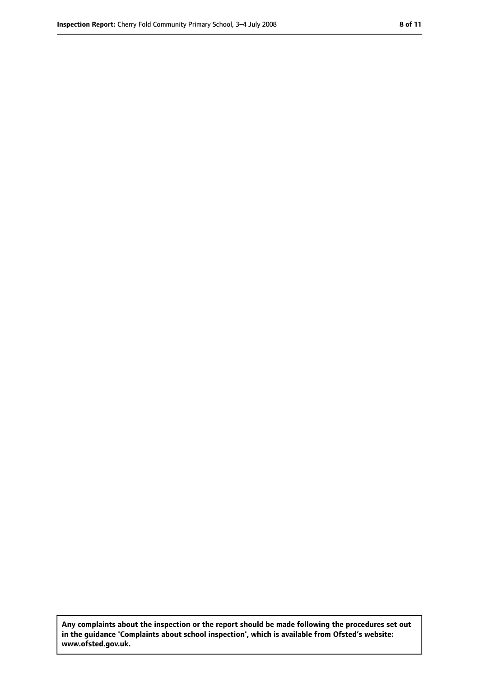**Any complaints about the inspection or the report should be made following the procedures set out in the guidance 'Complaints about school inspection', which is available from Ofsted's website: www.ofsted.gov.uk.**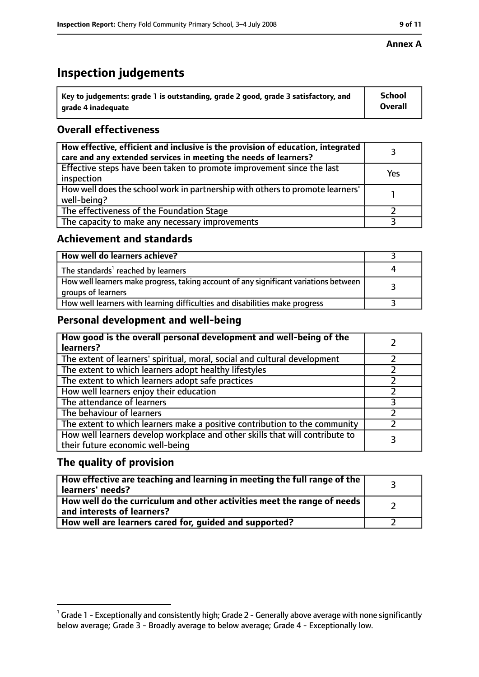# **Inspection judgements**

| $^{\backprime}$ Key to judgements: grade 1 is outstanding, grade 2 good, grade 3 satisfactory, and | <b>School</b>  |
|----------------------------------------------------------------------------------------------------|----------------|
| arade 4 inadeguate                                                                                 | <b>Overall</b> |

## **Overall effectiveness**

| How effective, efficient and inclusive is the provision of education, integrated<br>care and any extended services in meeting the needs of learners? |     |
|------------------------------------------------------------------------------------------------------------------------------------------------------|-----|
| Effective steps have been taken to promote improvement since the last<br>inspection                                                                  | Yes |
| How well does the school work in partnership with others to promote learners'<br>well-being?                                                         |     |
| The effectiveness of the Foundation Stage                                                                                                            |     |
| The capacity to make any necessary improvements                                                                                                      |     |

### **Achievement and standards**

| How well do learners achieve?                                                                               |  |
|-------------------------------------------------------------------------------------------------------------|--|
| The standards <sup>1</sup> reached by learners                                                              |  |
| How well learners make progress, taking account of any significant variations between<br>groups of learners |  |
| How well learners with learning difficulties and disabilities make progress                                 |  |

## **Personal development and well-being**

| How good is the overall personal development and well-being of the<br>learners?                                  |  |
|------------------------------------------------------------------------------------------------------------------|--|
| The extent of learners' spiritual, moral, social and cultural development                                        |  |
| The extent to which learners adopt healthy lifestyles                                                            |  |
| The extent to which learners adopt safe practices                                                                |  |
| How well learners enjoy their education                                                                          |  |
| The attendance of learners                                                                                       |  |
| The behaviour of learners                                                                                        |  |
| The extent to which learners make a positive contribution to the community                                       |  |
| How well learners develop workplace and other skills that will contribute to<br>their future economic well-being |  |

## **The quality of provision**

| How effective are teaching and learning in meeting the full range of the<br>learners' needs?          |  |
|-------------------------------------------------------------------------------------------------------|--|
| How well do the curriculum and other activities meet the range of needs<br>and interests of learners? |  |
| How well are learners cared for, guided and supported?                                                |  |

#### **Annex A**

 $^1$  Grade 1 - Exceptionally and consistently high; Grade 2 - Generally above average with none significantly below average; Grade 3 - Broadly average to below average; Grade 4 - Exceptionally low.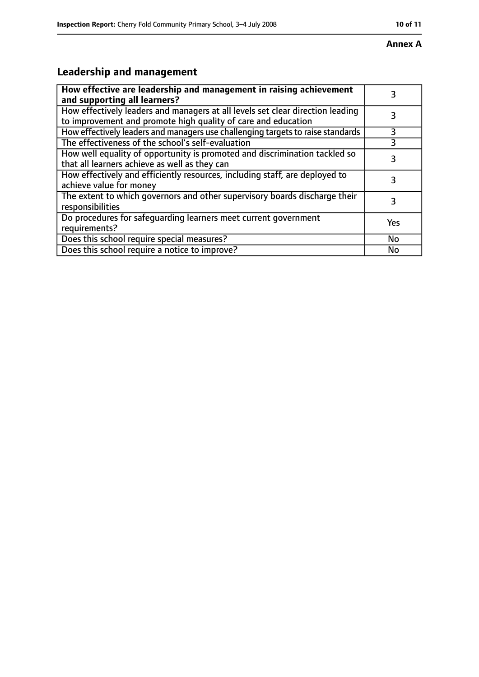#### **Annex A**

# **Leadership and management**

| How effective are leadership and management in raising achievement<br>and supporting all learners?                                              | 3         |
|-------------------------------------------------------------------------------------------------------------------------------------------------|-----------|
| How effectively leaders and managers at all levels set clear direction leading<br>to improvement and promote high quality of care and education |           |
| How effectively leaders and managers use challenging targets to raise standards                                                                 | 3         |
| The effectiveness of the school's self-evaluation                                                                                               |           |
| How well equality of opportunity is promoted and discrimination tackled so<br>that all learners achieve as well as they can                     | 3         |
| How effectively and efficiently resources, including staff, are deployed to<br>achieve value for money                                          | 3         |
| The extent to which governors and other supervisory boards discharge their<br>responsibilities                                                  | 3         |
| Do procedures for safequarding learners meet current government<br>requirements?                                                                | Yes       |
| Does this school require special measures?                                                                                                      | <b>No</b> |
| Does this school require a notice to improve?                                                                                                   | No        |